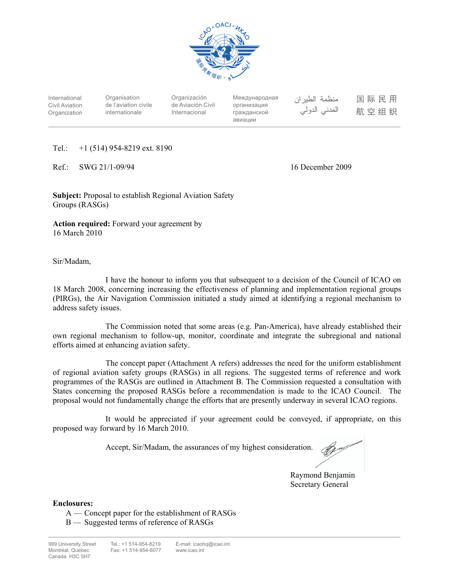

International Civil Aviation Organization

**Organisation** de l'aviation civile internationale

Organización de Aviación Civil Internacional

Международная организация гражданской авиации

منظمة الطيران المدنى الدولى

国际民用 航空组织

Tel.: +1 (514) 954-8219 ext. 8190

Ref.: SWG 21/1-09/94 16 December 2009

**Subject:** Proposal to establish Regional Aviation Safety Groups (RASGs)

**Action required:** Forward your agreement by 16 March 2010

Sir/Madam,

 I have the honour to inform you that subsequent to a decision of the Council of ICAO on 18 March 2008, concerning increasing the effectiveness of planning and implementation regional groups (PIRGs), the Air Navigation Commission initiated a study aimed at identifying a regional mechanism to address safety issues.

 The Commission noted that some areas (e.g. Pan-America), have already established their own regional mechanism to follow-up, monitor, coordinate and integrate the subregional and national efforts aimed at enhancing aviation safety.

 The concept paper (Attachment A refers) addresses the need for the uniform establishment of regional aviation safety groups (RASGs) in all regions. The suggested terms of reference and work programmes of the RASGs are outlined in Attachment B. The Commission requested a consultation with States concerning the proposed RASGs before a recommendation is made to the ICAO Council. The proposal would not fundamentally change the efforts that are presently underway in several ICAO regions.

 It would be appreciated if your agreement could be conveyed, if appropriate, on this proposed way forward by 16 March 2010.

Accept, Sir/Madam, the assurances of my highest consideration.

 Raymond Benjamin Secretary General

**Enclosures:** 

 A — Concept paper for the establishment of RASGs B — Suggested terms of reference of RASGs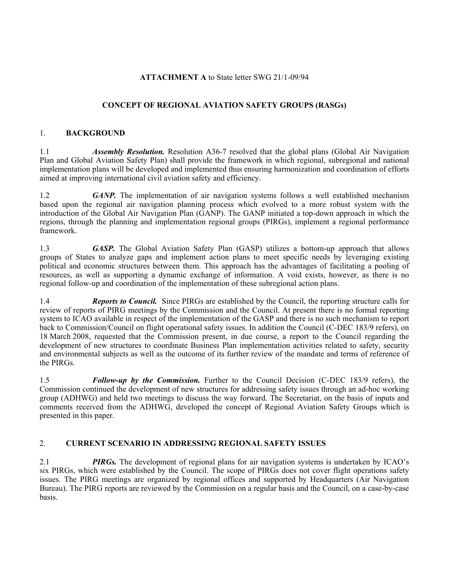# **ATTACHMENT A** to State letter SWG 21/1-09/94

# **CONCEPT OF REGIONAL AVIATION SAFETY GROUPS (RASGs)**

## 1. **BACKGROUND**

1.1 *Assembly Resolution.* Resolution A36-7 resolved that the global plans (Global Air Navigation Plan and Global Aviation Safety Plan) shall provide the framework in which regional, subregional and national implementation plans will be developed and implemented thus ensuring harmonization and coordination of efforts aimed at improving international civil aviation safety and efficiency.

1.2 *GANP.* The implementation of air navigation systems follows a well established mechanism based upon the regional air navigation planning process which evolved to a more robust system with the introduction of the Global Air Navigation Plan (GANP). The GANP initiated a top-down approach in which the regions, through the planning and implementation regional groups (PIRGs), implement a regional performance framework.

1.3 **GASP.** The Global Aviation Safety Plan (GASP) utilizes a bottom-up approach that allows groups of States to analyze gaps and implement action plans to meet specific needs by leveraging existing political and economic structures between them. This approach has the advantages of facilitating a pooling of resources, as well as supporting a dynamic exchange of information. A void exists, however, as there is no regional follow-up and coordination of the implementation of these subregional action plans.

1.4 *Reports to Council.* Since PIRGs are established by the Council, the reporting structure calls for review of reports of PIRG meetings by the Commission and the Council. At present there is no formal reporting system to ICAO available in respect of the implementation of the GASP and there is no such mechanism to report back to Commission/Council on flight operational safety issues. In addition the Council (C-DEC 183/9 refers), on 18 March 2008, requested that the Commission present, in due course, a report to the Council regarding the development of new structures to coordinate Business Plan implementation activities related to safety, security and environmental subjects as well as the outcome of its further review of the mandate and terms of reference of the PIRGs.

1.5 *Follow-up by the Commission.* Further to the Council Decision (C-DEC 183/9 refers), the Commission continued the development of new structures for addressing safety issues through an ad-hoc working group (ADHWG) and held two meetings to discuss the way forward. The Secretariat, on the basis of inputs and comments received from the ADHWG, developed the concept of Regional Aviation Safety Groups which is presented in this paper.

## 2. **CURRENT SCENARIO IN ADDRESSING REGIONAL SAFETY ISSUES**

2.1 *PIRGs.* The development of regional plans for air navigation systems is undertaken by ICAO's six PIRGs, which were established by the Council. The scope of PIRGs does not cover flight operations safety issues. The PIRG meetings are organized by regional offices and supported by Headquarters (Air Navigation Bureau). The PIRG reports are reviewed by the Commission on a regular basis and the Council, on a case-by-case basis.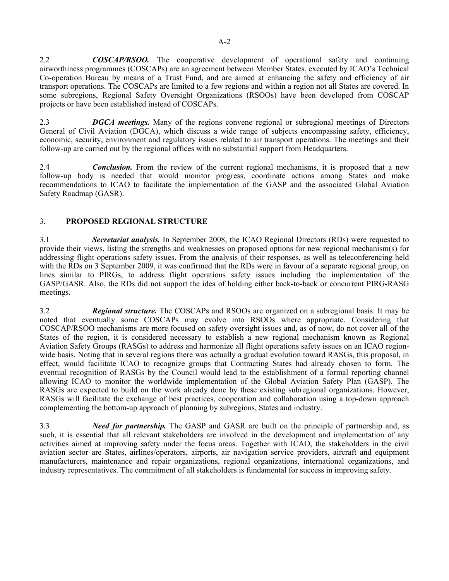2.2 *COSCAP/RSOO.* The cooperative development of operational safety and continuing airworthiness programmes (COSCAPs) are an agreement between Member States, executed by ICAO's Technical Co-operation Bureau by means of a Trust Fund, and are aimed at enhancing the safety and efficiency of air transport operations. The COSCAPs are limited to a few regions and within a region not all States are covered. In some subregions, Regional Safety Oversight Organizations (RSOOs) have been developed from COSCAP projects or have been established instead of COSCAPs.

2.3 *DGCA meetings.* Many of the regions convene regional or subregional meetings of Directors General of Civil Aviation (DGCA), which discuss a wide range of subjects encompassing safety, efficiency, economic, security, environment and regulatory issues related to air transport operations. The meetings and their follow-up are carried out by the regional offices with no substantial support from Headquarters.

2.4 *Conclusion.* From the review of the current regional mechanisms, it is proposed that a new follow-up body is needed that would monitor progress, coordinate actions among States and make recommendations to ICAO to facilitate the implementation of the GASP and the associated Global Aviation Safety Roadmap (GASR).

## 3. **PROPOSED REGIONAL STRUCTURE**

3.1 *Secretariat analysis.* In September 2008, the ICAO Regional Directors (RDs) were requested to provide their views, listing the strengths and weaknesses on proposed options for new regional mechanism(s) for addressing flight operations safety issues. From the analysis of their responses, as well as teleconferencing held with the RDs on 3 September 2009, it was confirmed that the RDs were in favour of a separate regional group, on lines similar to PIRGs, to address flight operations safety issues including the implementation of the GASP/GASR. Also, the RDs did not support the idea of holding either back-to-back or concurrent PIRG-RASG meetings.

3.2 *Regional structure.* The COSCAPs and RSOOs are organized on a subregional basis. It may be noted that eventually some COSCAPs may evolve into RSOOs where appropriate. Considering that COSCAP/RSOO mechanisms are more focused on safety oversight issues and, as of now, do not cover all of the States of the region, it is considered necessary to establish a new regional mechanism known as Regional Aviation Safety Groups (RASGs) to address and harmonize all flight operations safety issues on an ICAO regionwide basis. Noting that in several regions there was actually a gradual evolution toward RASGs, this proposal, in effect, would facilitate ICAO to recognize groups that Contracting States had already chosen to form. The eventual recognition of RASGs by the Council would lead to the establishment of a formal reporting channel allowing ICAO to monitor the worldwide implementation of the Global Aviation Safety Plan (GASP). The RASGs are expected to build on the work already done by these existing subregional organizations. However, RASGs will facilitate the exchange of best practices, cooperation and collaboration using a top-down approach complementing the bottom-up approach of planning by subregions, States and industry.

3.3 *Need for partnership.* The GASP and GASR are built on the principle of partnership and, as such, it is essential that all relevant stakeholders are involved in the development and implementation of any activities aimed at improving safety under the focus areas. Together with ICAO, the stakeholders in the civil aviation sector are States, airlines/operators, airports, air navigation service providers, aircraft and equipment manufacturers, maintenance and repair organizations, regional organizations, international organizations, and industry representatives. The commitment of all stakeholders is fundamental for success in improving safety.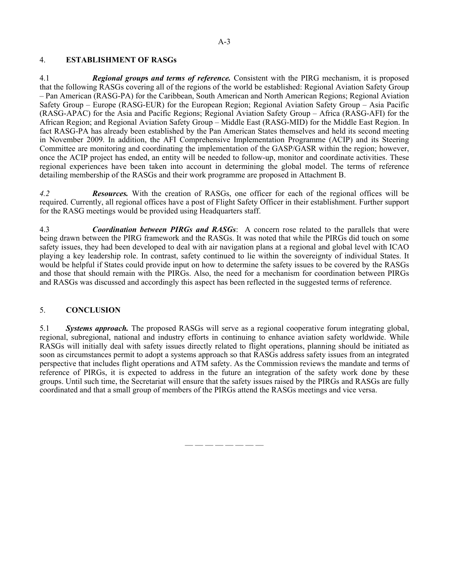#### 4. **ESTABLISHMENT OF RASGs**

4.1 *Regional group***s** *and terms of reference.* Consistent with the PIRG mechanism, it is proposed that the following RASGs covering all of the regions of the world be established: Regional Aviation Safety Group – Pan American (RASG-PA) for the Caribbean, South American and North American Regions; Regional Aviation Safety Group – Europe (RASG-EUR) for the European Region; Regional Aviation Safety Group – Asia Pacific (RASG-APAC) for the Asia and Pacific Regions; Regional Aviation Safety Group – Africa (RASG-AFI) for the African Region; and Regional Aviation Safety Group – Middle East (RASG-MID) for the Middle East Region. In fact RASG-PA has already been established by the Pan American States themselves and held its second meeting in November 2009. In addition, the AFI Comprehensive Implementation Programme (ACIP) and its Steering Committee are monitoring and coordinating the implementation of the GASP/GASR within the region; however, once the ACIP project has ended, an entity will be needed to follow-up, monitor and coordinate activities. These regional experiences have been taken into account in determining the global model. The terms of reference detailing membership of the RASGs and their work programme are proposed in Attachment B.

*4.2 Resources.* With the creation of RASGs, one officer for each of the regional offices will be required. Currently, all regional offices have a post of Flight Safety Officer in their establishment. Further support for the RASG meetings would be provided using Headquarters staff.

4.3 *Coordination between PIRGs and RASGs*: A concern rose related to the parallels that were being drawn between the PIRG framework and the RASGs. It was noted that while the PIRGs did touch on some safety issues, they had been developed to deal with air navigation plans at a regional and global level with ICAO playing a key leadership role. In contrast, safety continued to lie within the sovereignty of individual States. It would be helpful if States could provide input on how to determine the safety issues to be covered by the RASGs and those that should remain with the PIRGs. Also, the need for a mechanism for coordination between PIRGs and RASGs was discussed and accordingly this aspect has been reflected in the suggested terms of reference.

#### 5. **CONCLUSION**

5.1 *Systems approach.* The proposed RASGs will serve as a regional cooperative forum integrating global, regional, subregional, national and industry efforts in continuing to enhance aviation safety worldwide. While RASGs will initially deal with safety issues directly related to flight operations, planning should be initiated as soon as circumstances permit to adopt a systems approach so that RASGs address safety issues from an integrated perspective that includes flight operations and ATM safety. As the Commission reviews the mandate and terms of reference of PIRGs, it is expected to address in the future an integration of the safety work done by these groups. Until such time, the Secretariat will ensure that the safety issues raised by the PIRGs and RASGs are fully coordinated and that a small group of members of the PIRGs attend the RASGs meetings and vice versa.

— — — — — — — —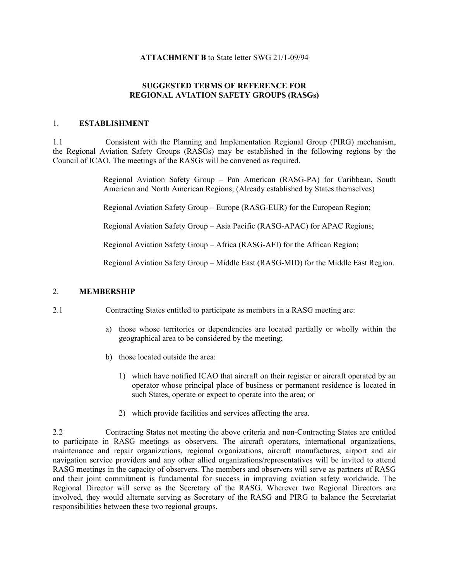#### **ATTACHMENT B** to State letter SWG 21/1-09/94

# **SUGGESTED TERMS OF REFERENCE FOR REGIONAL AVIATION SAFETY GROUPS (RASGs)**

## 1. **ESTABLISHMENT**

1.1 Consistent with the Planning and Implementation Regional Group (PIRG) mechanism, the Regional Aviation Safety Groups (RASGs) may be established in the following regions by the Council of ICAO. The meetings of the RASGs will be convened as required.

> Regional Aviation Safety Group – Pan American (RASG-PA) for Caribbean, South American and North American Regions; (Already established by States themselves)

Regional Aviation Safety Group – Europe (RASG-EUR) for the European Region;

Regional Aviation Safety Group – Asia Pacific (RASG-APAC) for APAC Regions;

Regional Aviation Safety Group – Africa (RASG-AFI) for the African Region;

Regional Aviation Safety Group – Middle East (RASG-MID) for the Middle East Region.

# 2. **MEMBERSHIP**

- 2.1 Contracting States entitled to participate as members in a RASG meeting are:
	- a) those whose territories or dependencies are located partially or wholly within the geographical area to be considered by the meeting;
	- b) those located outside the area:
		- 1) which have notified ICAO that aircraft on their register or aircraft operated by an operator whose principal place of business or permanent residence is located in such States, operate or expect to operate into the area; or
		- 2) which provide facilities and services affecting the area.

2.2 Contracting States not meeting the above criteria and non-Contracting States are entitled to participate in RASG meetings as observers. The aircraft operators, international organizations, maintenance and repair organizations, regional organizations, aircraft manufactures, airport and air navigation service providers and any other allied organizations/representatives will be invited to attend RASG meetings in the capacity of observers. The members and observers will serve as partners of RASG and their joint commitment is fundamental for success in improving aviation safety worldwide. The Regional Director will serve as the Secretary of the RASG. Wherever two Regional Directors are involved, they would alternate serving as Secretary of the RASG and PIRG to balance the Secretariat responsibilities between these two regional groups.